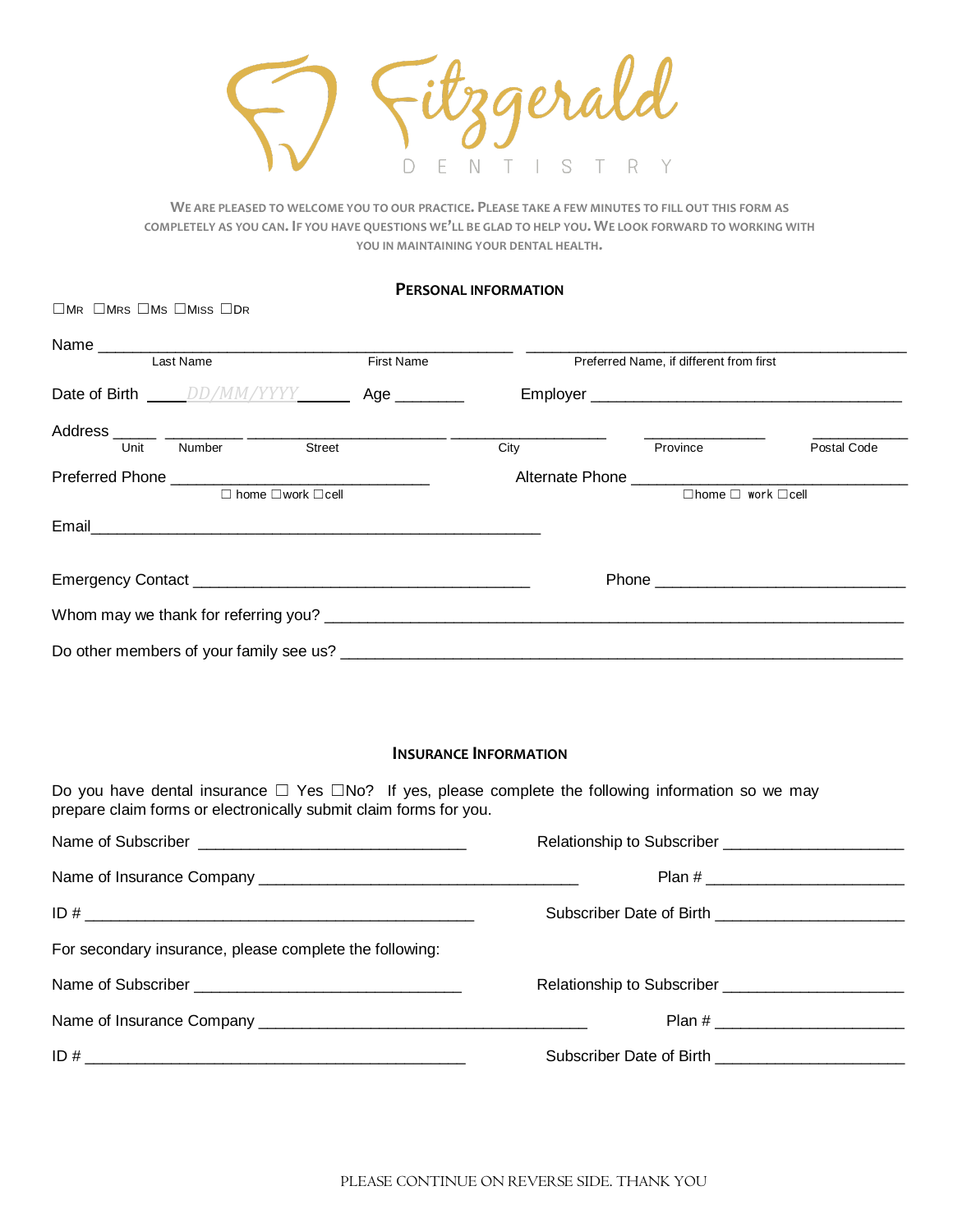E  $\mathbb{N}$  $\top$ S  $\mathsf{R}$  $\bigcap$ т

**WE ARE PLEASED TO WELCOME YOU TO OUR PRACTICE. PLEASE TAKE A FEW MINUTES TO FILL OUT THIS FORM AS COMPLETELY AS YOU CAN. IF YOU HAVE QUESTIONS WE'LL BE GLAD TO HELP YOU. WE LOOK FORWARD TO WORKING WITH YOU IN MAINTAINING YOUR DENTAL HEALTH.**

## **PERSONAL INFORMATION**

☐MR ☐MRS ☐MS ☐MISS ☐D<sup>R</sup>

| Last Name                           |        | <b>First Name</b>                    | Preferred Name, if different from first |                                     |             |  |
|-------------------------------------|--------|--------------------------------------|-----------------------------------------|-------------------------------------|-------------|--|
|                                     |        | Date of Birth <u>DD/MM/YYYY</u> Age  |                                         |                                     |             |  |
| Unit                                | Number | <b>Street</b>                        | City                                    | Province                            | Postal Code |  |
| $\Box$ home $\Box$ work $\Box$ cell |        |                                      |                                         | $\Box$ home $\Box$ work $\Box$ cell |             |  |
|                                     |        |                                      |                                         |                                     |             |  |
|                                     |        |                                      |                                         | Phone <u>2008 - Phone</u>           |             |  |
|                                     |        | Whom may we thank for referring you? |                                         |                                     |             |  |
|                                     |        |                                      |                                         |                                     |             |  |

## **INSURANCE INFORMATION**

Do you have dental insurance □ Yes □No? If yes, please complete the following information so we may prepare claim forms or electronically submit claim forms for you.

| For secondary insurance, please complete the following: |                                                                  |  |  |
|---------------------------------------------------------|------------------------------------------------------------------|--|--|
|                                                         | Relationship to Subscriber <b>Exercise Services</b> Relationship |  |  |
|                                                         |                                                                  |  |  |
|                                                         |                                                                  |  |  |
|                                                         |                                                                  |  |  |